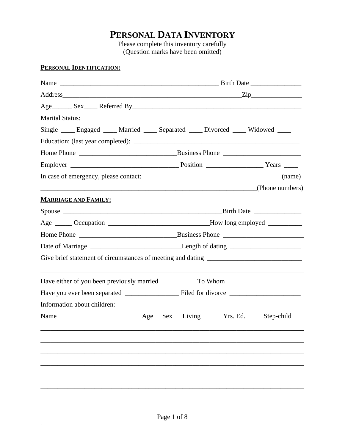# **PERSONAL DATA INVENTORY**

Please complete this inventory carefully (Question marks have been omitted)

#### **PERSONAL IDENTIFICATION:**

.

|                                                                                      |  | Address Zip |  |                         |  |            |
|--------------------------------------------------------------------------------------|--|-------------|--|-------------------------|--|------------|
|                                                                                      |  |             |  |                         |  |            |
| <b>Marital Status:</b>                                                               |  |             |  |                         |  |            |
| Single _____ Engaged _____ Married _____ Separated _____ Divorced _____ Widowed ____ |  |             |  |                         |  |            |
|                                                                                      |  |             |  |                         |  |            |
|                                                                                      |  |             |  |                         |  |            |
|                                                                                      |  |             |  |                         |  |            |
|                                                                                      |  |             |  |                         |  |            |
| (Phone numbers)                                                                      |  |             |  |                         |  |            |
| <b>MARRIAGE AND FAMILY:</b>                                                          |  |             |  |                         |  |            |
|                                                                                      |  |             |  |                         |  |            |
| Age ______ Occupation _______________________________How long employed __________    |  |             |  |                         |  |            |
|                                                                                      |  |             |  |                         |  |            |
|                                                                                      |  |             |  |                         |  |            |
|                                                                                      |  |             |  |                         |  |            |
|                                                                                      |  |             |  |                         |  |            |
|                                                                                      |  |             |  |                         |  |            |
| Information about children:                                                          |  |             |  |                         |  |            |
| Name                                                                                 |  |             |  | Age Sex Living Yrs. Ed. |  | Step-child |
|                                                                                      |  |             |  |                         |  |            |
|                                                                                      |  |             |  |                         |  |            |
|                                                                                      |  |             |  |                         |  |            |
|                                                                                      |  |             |  |                         |  |            |
|                                                                                      |  |             |  |                         |  |            |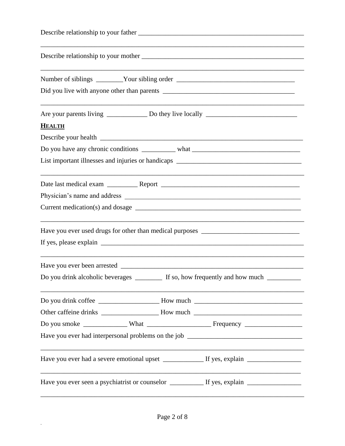| <b>HEALTH</b>                                                                         |
|---------------------------------------------------------------------------------------|
|                                                                                       |
| Do you have any chronic conditions ____________ what ____________________________     |
| List important illnesses and injuries or handicaps ______________________________     |
|                                                                                       |
|                                                                                       |
|                                                                                       |
|                                                                                       |
|                                                                                       |
|                                                                                       |
| Do you drink alcoholic beverages ________ If so, how frequently and how much ________ |
| Do you drink coffee ________________________How much ___________________________      |
|                                                                                       |
|                                                                                       |
|                                                                                       |
|                                                                                       |
|                                                                                       |

 $\mathcal{L}^{(1)}$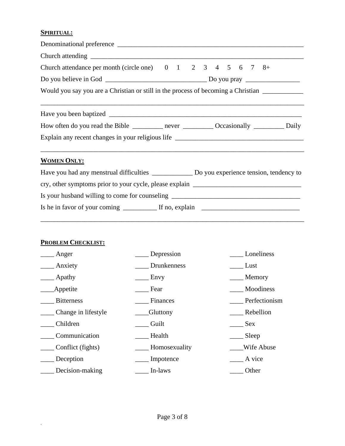### **SPIRITUAL:**

| Church attendance per month (circle one) $0 \t 1 \t 2 \t 3 \t 4 \t 5 \t 6 \t 7 \t 8$ +                                                      |
|---------------------------------------------------------------------------------------------------------------------------------------------|
| Do you believe in God $\frac{1}{\sqrt{1-\frac{1}{2}}}\sqrt{1-\frac{1}{2}}$ Do you pray $\frac{1}{\sqrt{1-\frac{1}{2}}}\sqrt{1-\frac{1}{2}}$ |
| Would you say you are a Christian or still in the process of becoming a Christian _________________                                         |
|                                                                                                                                             |
| How often do you read the Bible _________ never ___________ Occasionally ___________ Daily                                                  |
| Explain any recent changes in your religious life _______________________________                                                           |
| <b>WOMEN ONLY:</b>                                                                                                                          |
| Have you had any menstrual difficulties ______________ Do you experience tension, tendency to                                               |
|                                                                                                                                             |
| Is your husband willing to come for counseling _________________________________                                                            |
|                                                                                                                                             |

#### **PROBLEM CHECKLIST:**

.

| Anger               | Depression         | Loneliness    |
|---------------------|--------------------|---------------|
| Anxiety             | <b>Drunkenness</b> | Lust          |
| Apathy              | Envy               | Memory        |
| <b>Appetite</b>     | Fear               | Moodiness     |
| <b>Bitterness</b>   | Finances           | Perfectionism |
| Change in lifestyle | <b>Gluttony</b>    | Rebellion     |
| Children            | Guilt              | <b>Sex</b>    |
| Communication       | Health             | Sleep         |
| Conflict (fights)   | Homosexuality      | Wife Abuse    |
| Deception           | Impotence          | A vice        |
| Decision-making     | In-laws            | Other         |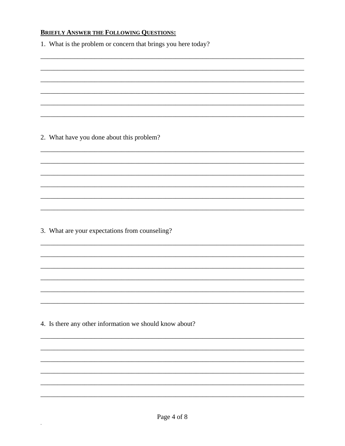## **BRIEFLY ANSWER THE FOLLOWING QUESTIONS:**

| 1. What is the problem or concern that brings you here today? |
|---------------------------------------------------------------|
|                                                               |
|                                                               |
|                                                               |
|                                                               |
| 2. What have you done about this problem?                     |
|                                                               |
|                                                               |
|                                                               |
|                                                               |
|                                                               |
| 3. What are your expectations from counseling?                |
|                                                               |
|                                                               |
|                                                               |
|                                                               |
|                                                               |
| 4. Is there any other information we should know about?       |
|                                                               |
|                                                               |
|                                                               |
|                                                               |
|                                                               |

 $\hat{\mathcal{A}}$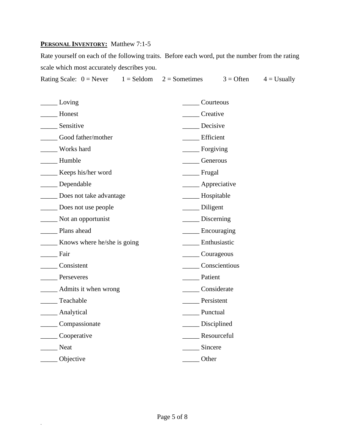#### **PERSONAL INVENTORY:** Matthew 7:1-5

.

Rate yourself on each of the following traits. Before each word, put the number from the rating scale which most accurately describes you.

|  | Rating Scale: $0 =$ Never $1 =$ Seldom $2 =$ Sometimes | $3 =$ Often $4 =$ Usually |  |
|--|--------------------------------------------------------|---------------------------|--|
|  |                                                        |                           |  |

| $\frac{1}{2}$ Loving                        | Courteous                |
|---------------------------------------------|--------------------------|
| Honest                                      | Creative                 |
| ___ Sensitive                               | Decisive                 |
| Good father/mother                          | <b>Efficient</b>         |
| Works hard                                  |                          |
| Humble                                      | Generous                 |
| _______ Keeps his/her word                  | ________ Frugal          |
| _____ Dependable                            | _____ Appreciative       |
| Does not take advantage                     | _____ Hospitable         |
| Does not use people                         | ____ Diligent            |
| Not an opportunist                          | $\frac{1}{2}$ Discerning |
| Plans ahead                                 | _________ Encouraging    |
| <b>EXECUTE:</b> Knows where he/she is going | Enthusiastic             |
| Fair                                        | _______ Courageous       |
| _____ Consistent                            | <b>Conscientious</b>     |
| Perseveres                                  | Patient                  |
| ______ Admits it when wrong                 | Considerate              |
| ____ Teachable                              | Persistent               |
| ______ Analytical                           | Punctual                 |
| Compassionate                               | _____ Disciplined        |
| Cooperative                                 | Resourceful              |
| <b>Neat</b>                                 | Sincere                  |
| <b>Objective</b>                            | Other                    |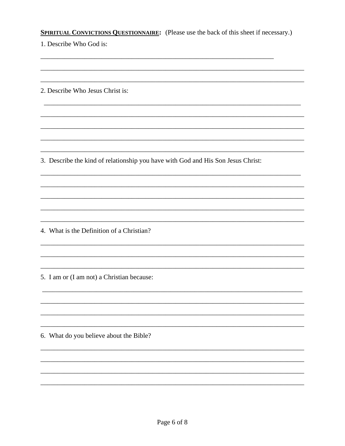| <b>SPIRITUAL CONVICTIONS QUESTIONNAIRE:</b> (Please use the back of this sheet if necessary.) |
|-----------------------------------------------------------------------------------------------|
| 1. Describe Who God is:                                                                       |
|                                                                                               |
| 2. Describe Who Jesus Christ is:                                                              |
|                                                                                               |
|                                                                                               |
| 3. Describe the kind of relationship you have with God and His Son Jesus Christ:              |
|                                                                                               |
| 4. What is the Definition of a Christian?                                                     |
|                                                                                               |
| 5. I am or (I am not) a Christian because:                                                    |
|                                                                                               |
| 6. What do you believe about the Bible?                                                       |
|                                                                                               |
|                                                                                               |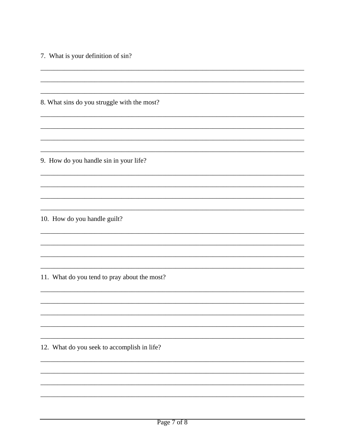7. What is your definition of sin?

8. What sins do you struggle with the most?

9. How do you handle sin in your life?

10. How do you handle guilt?

11. What do you tend to pray about the most?

12. What do you seek to accomplish in life?